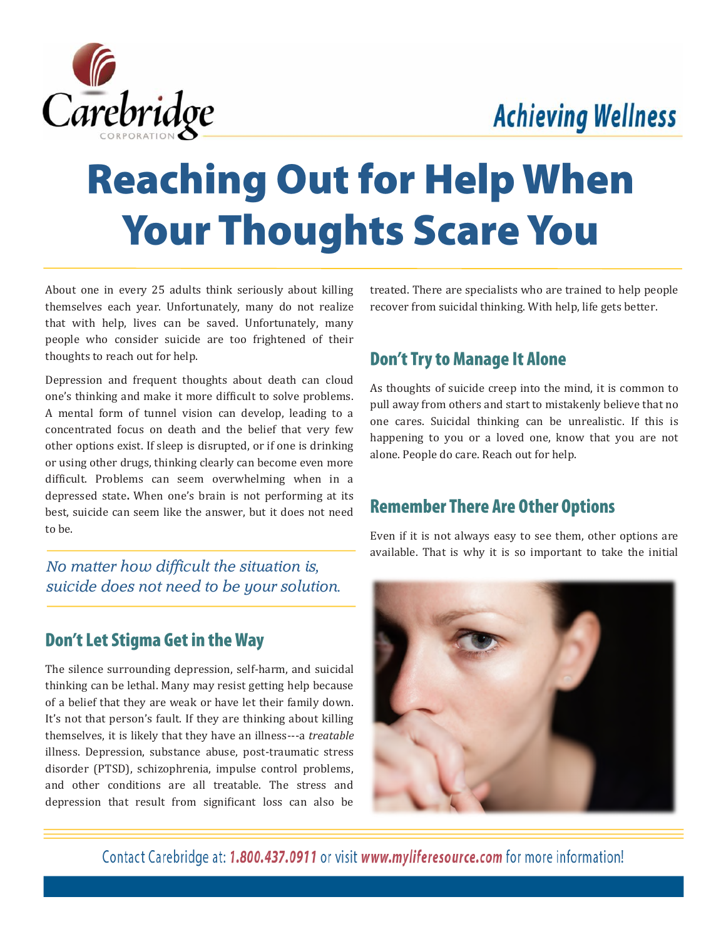## **Achieving Wellness**



# **Reaching Out for Help When Your Thoughts Scare You**

About one in every 25 adults think seriously about killing themselves each year. Unfortunately, many do not realize that with help, lives can be saved. Unfortunately, many people who consider suicide are too frightened of their thoughts to reach out for help.

Depression and frequent thoughts about death can cloud one's thinking and make it more difficult to solve problems. A mental form of tunnel vision can develop, leading to a concentrated focus on death and the belief that very few other options exist. If sleep is disrupted, or if one is drinking or using other drugs, thinking clearly can become even more difficult. Problems can seem overwhelming when in a depressed state**.** When one's brain is not performing at its best, suicide can seem like the answer, but it does not need to be.

*No matter how difficult the situation is, suicide does not need to be your solution.*

#### **Don't Let Stigma Get in the Way**

The silence surrounding depression, self-harm, and suicidal thinking can be lethal. Many may resist getting help because of a belief that they are weak or have let their family down. It's not that person's fault. If they are thinking about killing themselves, it is likely that they have an illness---a *treatable* illness. Depression, substance abuse, post-traumatic stress disorder (PTSD), schizophrenia, impulse control problems, and other conditions are all treatable. The stress and depression that result from significant loss can also be treated. There are specialists who are trained to help people recover from suicidal thinking. With help, life gets better.

#### **Don't Try to Manage It Alone**

As thoughts of suicide creep into the mind, it is common to pull away from others and start to mistakenly believe that no one cares. Suicidal thinking can be unrealistic. If this is happening to you or a loved one, know that you are not alone. People do care. Reach out for help.

#### **Remember There Are Other Options**

Even if it is not always easy to see them, other options are available. That is why it is so important to take the initial



Contact Carebridge at: 1.800.437.0911 or visit www.myliferesource.com for more information!